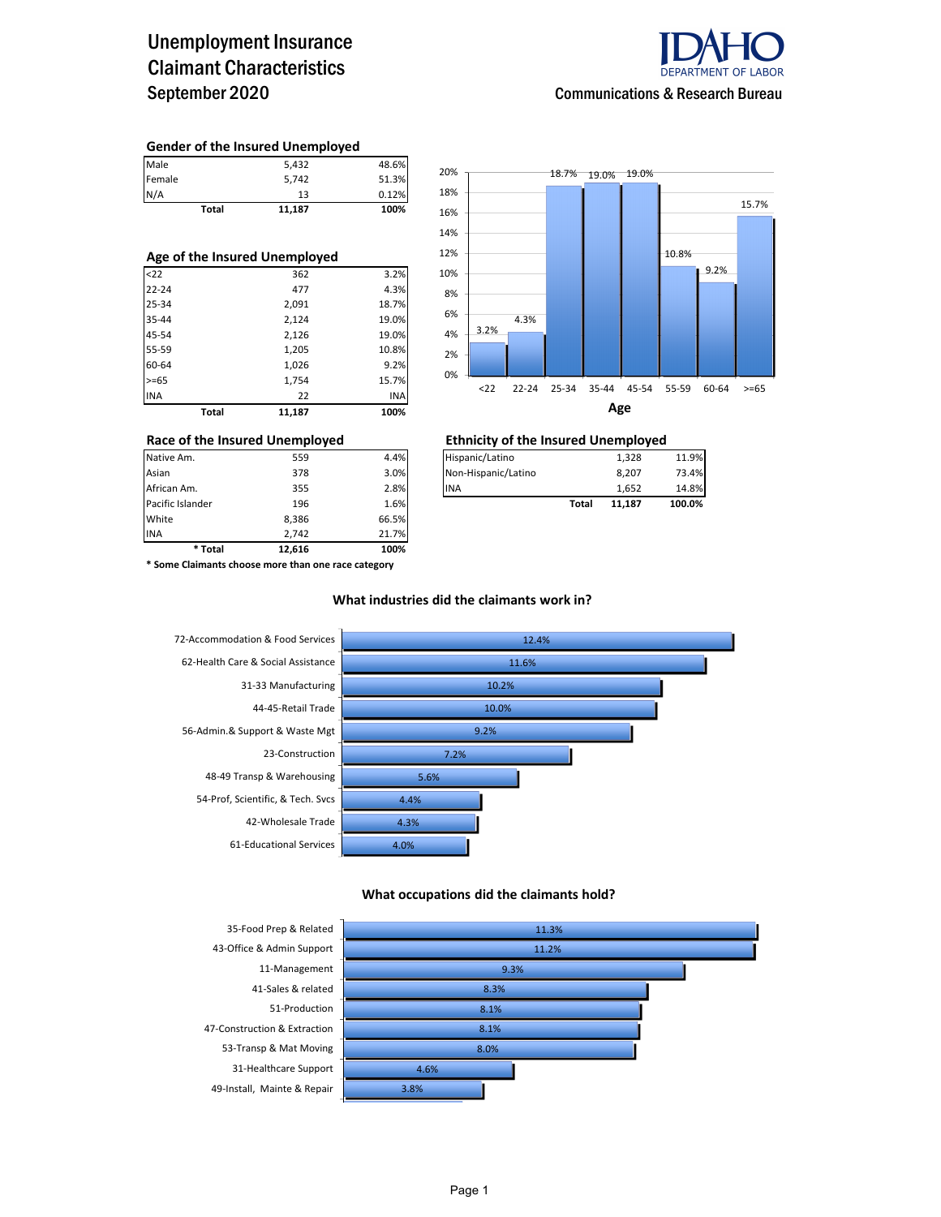## Unemployment Insurance Claimant Characteristics September 2020



#### **Gender of the Insured Unemployed**

|        | Total | 11.187 | 100%  |
|--------|-------|--------|-------|
| N/A    |       | 13     | 0.12% |
| Female |       | 5.742  | 51.3% |
| Male   |       | 5,432  | 48.6% |

#### **Age of the Insured Unemployed**

| Total      | 11,187 | 100%  |
|------------|--------|-------|
| <b>INA</b> | 22     | INA   |
| $>= 65$    | 1,754  | 15.7% |
| 60-64      | 1,026  | 9.2%  |
| 55-59      | 1,205  | 10.8% |
| 45-54      | 2,126  | 19.0% |
| 35-44      | 2,124  | 19.0% |
| 25-34      | 2,091  | 18.7% |
| $22 - 24$  | 477    | 4.3%  |
| $22$       | 362    | 3.2%  |



### **Race of the Insured Unemployed Ethnicity of the Insured Unemployed**

| Native Am. | 559 | 4.4% | Hispanic/Latino     | 1.328 | 11.9% |
|------------|-----|------|---------------------|-------|-------|
| Asian      | 378 | 3.0% | Non-Hispanic/Latino | 8.207 | 3.4%  |

| Asian            | 378   | 3.0%  | Non-Hispanic/Latino |       | 8.207  | 73.4%  |
|------------------|-------|-------|---------------------|-------|--------|--------|
| African Am.      | 355   | 2.8%  | <b>INA</b>          |       | 1.652  | 14.8%  |
| Pacific Islander | 196   | 1.6%  |                     | Total | 11.187 | 100.0% |
| White            | 8,386 | 66.5% |                     |       |        |        |

**\* Some Claimants choose more than one race category**

INA 2,742 21.7% **\* Total 12,616 100%**

#### **What industries did the claimants work in?**



#### **What occupations did the claimants hold?**

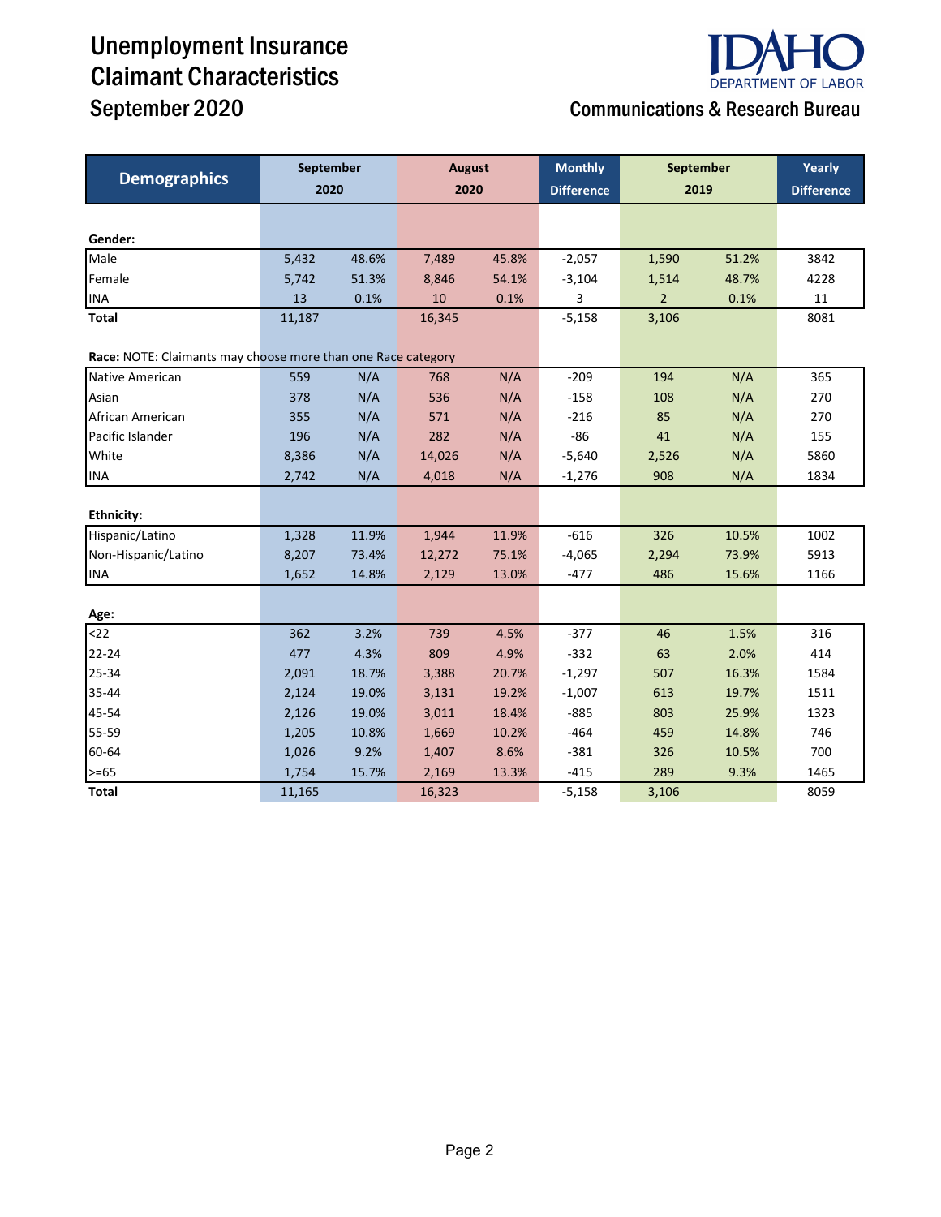# Unemployment Insurance Claimant Characteristics September 2020 Communications & Research Bureau



|                                                              | September |       | <b>August</b> |       | <b>Monthly</b>    | September      | Yearly            |      |
|--------------------------------------------------------------|-----------|-------|---------------|-------|-------------------|----------------|-------------------|------|
| <b>Demographics</b>                                          | 2020      |       | 2020          |       | <b>Difference</b> | 2019           | <b>Difference</b> |      |
|                                                              |           |       |               |       |                   |                |                   |      |
| Gender:                                                      |           |       |               |       |                   |                |                   |      |
| Male                                                         | 5,432     | 48.6% | 7,489         | 45.8% | $-2,057$          | 1,590          | 51.2%             | 3842 |
| Female                                                       | 5,742     | 51.3% | 8,846         | 54.1% | $-3,104$          | 1,514          | 48.7%             | 4228 |
| <b>INA</b>                                                   | 13        | 0.1%  | 10            | 0.1%  | 3                 | $\overline{2}$ | 0.1%              | 11   |
| <b>Total</b>                                                 | 11,187    |       | 16,345        |       | $-5,158$          | 3,106          |                   | 8081 |
| Race: NOTE: Claimants may choose more than one Race category |           |       |               |       |                   |                |                   |      |
| Native American                                              | 559       | N/A   | 768           | N/A   | $-209$            | 194            | N/A               | 365  |
| Asian                                                        | 378       | N/A   | 536           | N/A   | $-158$            | 108            | N/A               | 270  |
| African American                                             | 355       | N/A   | 571           | N/A   | $-216$            | 85             | N/A               | 270  |
| Pacific Islander                                             | 196       | N/A   | 282           | N/A   | $-86$             | 41             | N/A               | 155  |
| White                                                        | 8,386     | N/A   | 14,026        | N/A   | $-5,640$          | 2,526          | N/A               | 5860 |
| <b>INA</b>                                                   | 2,742     | N/A   | 4,018         | N/A   | $-1,276$          | 908            | N/A               | 1834 |
|                                                              |           |       |               |       |                   |                |                   |      |
| <b>Ethnicity:</b>                                            |           |       |               |       |                   |                |                   |      |
| Hispanic/Latino                                              | 1,328     | 11.9% | 1,944         | 11.9% | $-616$            | 326            | 10.5%             | 1002 |
| Non-Hispanic/Latino                                          | 8,207     | 73.4% | 12,272        | 75.1% | $-4,065$          | 2,294          | 73.9%             | 5913 |
| <b>INA</b>                                                   | 1,652     | 14.8% | 2,129         | 13.0% | $-477$            | 486            | 15.6%             | 1166 |
|                                                              |           |       |               |       |                   |                |                   |      |
| Age:                                                         |           |       |               |       |                   |                |                   |      |
| $22$                                                         | 362       | 3.2%  | 739           | 4.5%  | $-377$            | 46             | 1.5%              | 316  |
| $22 - 24$                                                    | 477       | 4.3%  | 809           | 4.9%  | $-332$            | 63             | 2.0%              | 414  |
| 25-34                                                        | 2,091     | 18.7% | 3,388         | 20.7% | $-1,297$          | 507            | 16.3%             | 1584 |
| 35-44                                                        | 2,124     | 19.0% | 3,131         | 19.2% | $-1,007$          | 613            | 19.7%             | 1511 |
| 45-54                                                        | 2,126     | 19.0% | 3,011         | 18.4% | $-885$            | 803            | 25.9%             | 1323 |
| 55-59                                                        | 1,205     | 10.8% | 1,669         | 10.2% | $-464$            | 459            | 14.8%             | 746  |
| 60-64                                                        | 1,026     | 9.2%  | 1,407         | 8.6%  | $-381$            | 326            | 10.5%             | 700  |
| $>= 65$                                                      | 1,754     | 15.7% | 2,169         | 13.3% | $-415$            | 289            | 9.3%              | 1465 |
| <b>Total</b>                                                 | 11,165    |       | 16,323        |       | $-5,158$          | 3,106          |                   | 8059 |